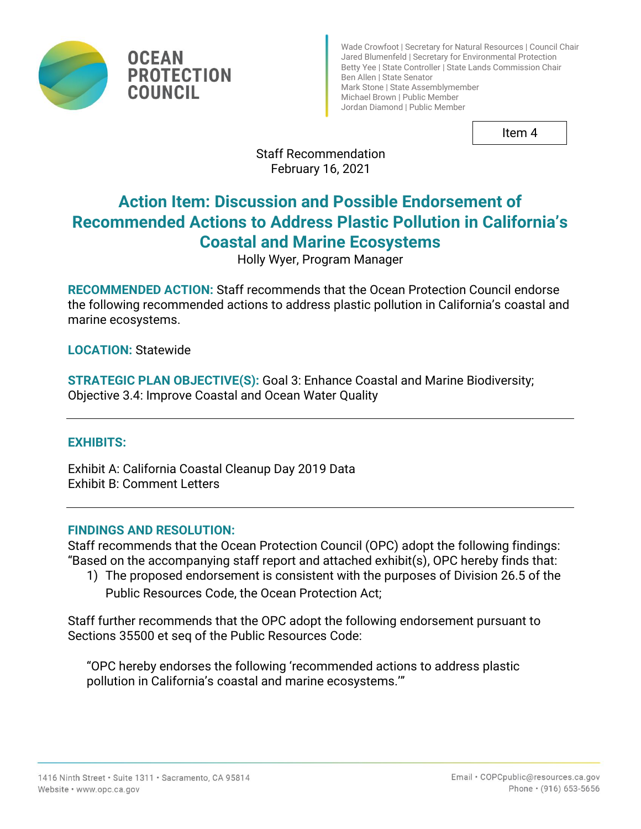

**OCEAN PROTECTION COUNCIL** 

Wade Crowfoot | Secretary for Natural Resources | Council Chair Jared Blumenfeld | Secretary for Environmental Protection Betty Yee | State Controller | State Lands Commission Chair Ben Allen | State Senator Mark Stone | State Assemblymember Michael Brown | Public Member Jordan Diamond | Public Member

Item 4

Staff Recommendation February 16, 2021

# **Action Item: Discussion and Possible Endorsement of Recommended Actions to Address Plastic Pollution in California's Coastal and Marine Ecosystems**

Holly Wyer, Program Manager

**RECOMMENDED ACTION:** Staff recommends that the Ocean Protection Council endorse the following recommended actions to address plastic pollution in California's coastal and marine ecosystems.

**LOCATION:** Statewide

**STRATEGIC PLAN OBJECTIVE(S): Goal 3: Enhance Coastal and Marine Biodiversity;** Objective 3.4: Improve Coastal and Ocean Water Quality

## **EXHIBITS:**

Exhibit A: California Coastal Cleanup Day 2019 Data Exhibit B: Comment Letters

## **FINDINGS AND RESOLUTION:**

Staff recommends that the Ocean Protection Council (OPC) adopt the following findings: "Based on the accompanying staff report and attached exhibit(s), OPC hereby finds that:

1) The proposed endorsement is consistent with the purposes of Division 26.5 of the Public Resources Code, the Ocean Protection Act;

Staff further recommends that the OPC adopt the following endorsement pursuant to Sections 35500 et seq of the Public Resources Code:

"OPC hereby endorses the following 'recommended actions to address plastic pollution in California's coastal and marine ecosystems.'"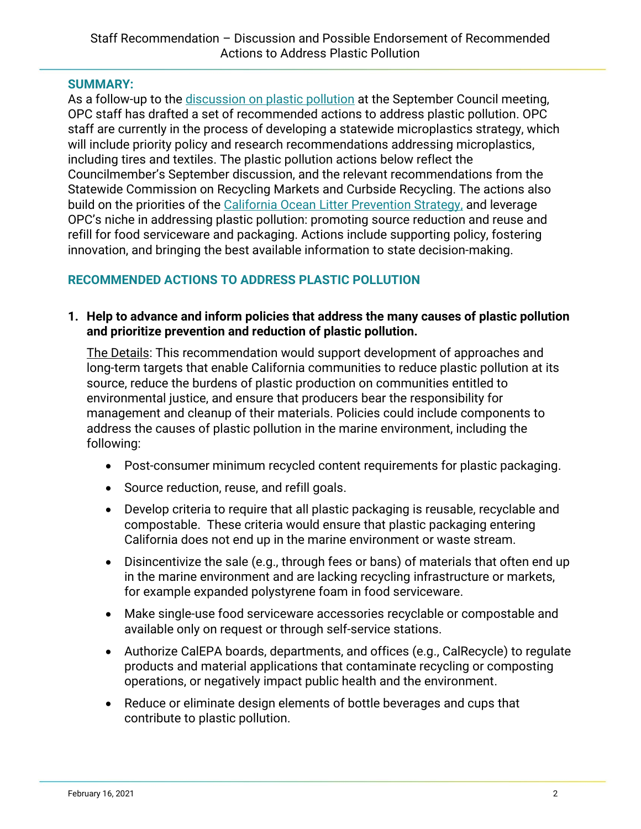#### **SUMMARY:**

As a follow-up to the [discussion on plastic pollution](https://www.opc.ca.gov/webmaster/ftp/pdf/agenda_items/20200917/Item7_TalkingTrashPolicyDiscussion.pdf) at the September Council meeting, OPC staff has drafted a set of recommended actions to address plastic pollution. OPC staff are currently in the process of developing a statewide microplastics strategy, which will include priority policy and research recommendations addressing microplastics, including tires and textiles. The plastic pollution actions below reflect the Councilmember's September discussion, and the relevant recommendations from the Statewide Commission on Recycling Markets and Curbside Recycling. The actions also build on the priorities of the [California Ocean Litter Prevention Strategy,](https://opc.ca.gov/webmaster/_media_library/2018/06/2018_CA_OceanLitterStrategy.pdf) and leverage OPC's niche in addressing plastic pollution: promoting source reduction and reuse and refill for food serviceware and packaging. Actions include supporting policy, fostering innovation, and bringing the best available information to state decision-making.

## **RECOMMENDED ACTIONS TO ADDRESS PLASTIC POLLUTION**

#### **1. Help to advance and inform policies that address the many causes of plastic pollution and prioritize prevention and reduction of plastic pollution.**

The Details: This recommendation would support development of approaches and long-term targets that enable California communities to reduce plastic pollution at its source, reduce the burdens of plastic production on communities entitled to environmental justice, and ensure that producers bear the responsibility for management and cleanup of their materials. Policies could include components to address the causes of plastic pollution in the marine environment, including the following:

- Post-consumer minimum recycled content requirements for plastic packaging.
- Source reduction, reuse, and refill goals.
- Develop criteria to require that all plastic packaging is reusable, recyclable and compostable. These criteria would ensure that plastic packaging entering California does not end up in the marine environment or waste stream.
- Disincentivize the sale (e.g., through fees or bans) of materials that often end up in the marine environment and are lacking recycling infrastructure or markets, for example expanded polystyrene foam in food serviceware.
- Make single-use food serviceware accessories recyclable or compostable and available only on request or through self-service stations.
- Authorize CalEPA boards, departments, and offices (e.g., CalRecycle) to regulate products and material applications that contaminate recycling or composting operations, or negatively impact public health and the environment.
- Reduce or eliminate design elements of bottle beverages and cups that contribute to plastic pollution.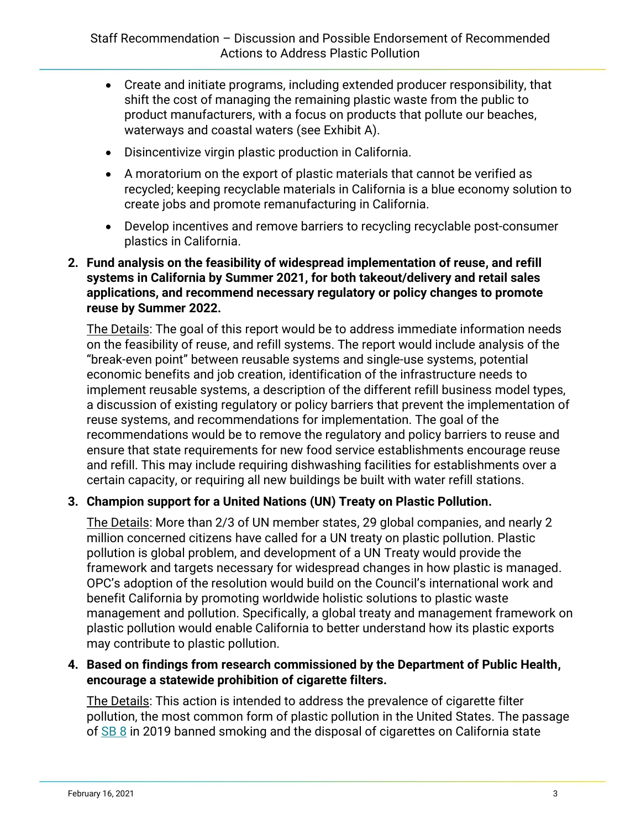- Create and initiate programs, including extended producer responsibility, that shift the cost of managing the remaining plastic waste from the public to product manufacturers, with a focus on products that pollute our beaches, waterways and coastal waters (see Exhibit A).
- Disincentivize virgin plastic production in California.
- A moratorium on the export of plastic materials that cannot be verified as recycled; keeping recyclable materials in California is a blue economy solution to create jobs and promote remanufacturing in California.
- Develop incentives and remove barriers to recycling recyclable post-consumer plastics in California.

#### **2. Fund analysis on the feasibility of widespread implementation of reuse, and refill systems in California by Summer 2021, for both takeout/delivery and retail sales applications, and recommend necessary regulatory or policy changes to promote reuse by Summer 2022.**

The Details: The goal of this report would be to address immediate information needs on the feasibility of reuse, and refill systems. The report would include analysis of the "break-even point" between reusable systems and single-use systems, potential economic benefits and job creation, identification of the infrastructure needs to implement reusable systems, a description of the different refill business model types, a discussion of existing regulatory or policy barriers that prevent the implementation of reuse systems, and recommendations for implementation. The goal of the recommendations would be to remove the regulatory and policy barriers to reuse and ensure that state requirements for new food service establishments encourage reuse and refill. This may include requiring dishwashing facilities for establishments over a certain capacity, or requiring all new buildings be built with water refill stations.

#### **3. Champion support for a United Nations (UN) Treaty on Plastic Pollution.**

The Details: More than 2/3 of UN member states, 29 global companies, and nearly 2 million concerned citizens have called for a UN treaty on plastic pollution. Plastic pollution is global problem, and development of a UN Treaty would provide the framework and targets necessary for widespread changes in how plastic is managed. OPC's adoption of the resolution would build on the Council's international work and benefit California by promoting worldwide holistic solutions to plastic waste management and pollution. Specifically, a global treaty and management framework on plastic pollution would enable California to better understand how its plastic exports may contribute to plastic pollution.

#### **4. Based on findings from research commissioned by the Department of Public Health, encourage a statewide prohibition of cigarette filters.**

The Details: This action is intended to address the prevalence of cigarette filter pollution, the most common form of plastic pollution in the United States. The passage of [SB 8](https://urldefense.proofpoint.com/v2/url?u=https-3A__leginfo.legislature.ca.gov_faces_billTextClient.xhtml-3Fbill-5Fid-3D201920200SB8&d=DwMFAg&c=Lr0a7ed3egkbwePCNW4ROg&r=0MrgeJKqK4KHDWuUMHPsjbuO0TJVF_n4qyKtygER2Pk&m=h4cABiguKGAU3TzksXMiQm7ePYamKrR-O2kK1P5mlAE&s=s1gPSENLmzugqL_ibWmAFxrhG9FeN4ih3pqHvZbYT3c&e=) in 2019 banned smoking and the disposal of cigarettes on California state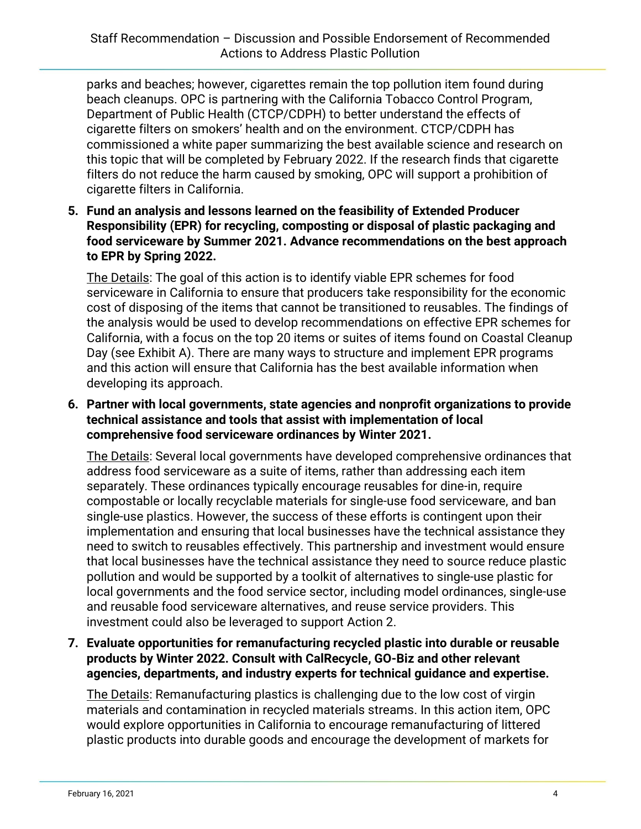parks and beaches; however, cigarettes remain the top pollution item found during beach cleanups. OPC is partnering with the California Tobacco Control Program, Department of Public Health (CTCP/CDPH) to better understand the effects of cigarette filters on smokers' health and on the environment. CTCP/CDPH has commissioned a white paper summarizing the best available science and research on this topic that will be completed by February 2022. If the research finds that cigarette filters do not reduce the harm caused by smoking, OPC will support a prohibition of cigarette filters in California.

**5. Fund an analysis and lessons learned on the feasibility of Extended Producer Responsibility (EPR) for recycling, composting or disposal of plastic packaging and food serviceware by Summer 2021. Advance recommendations on the best approach to EPR by Spring 2022.**

The Details: The goal of this action is to identify viable EPR schemes for food serviceware in California to ensure that producers take responsibility for the economic cost of disposing of the items that cannot be transitioned to reusables. The findings of the analysis would be used to develop recommendations on effective EPR schemes for California, with a focus on the top 20 items or suites of items found on Coastal Cleanup Day (see Exhibit A). There are many ways to structure and implement EPR programs and this action will ensure that California has the best available information when developing its approach.

**6. Partner with local governments, state agencies and nonprofit organizations to provide technical assistance and tools that assist with implementation of local comprehensive food serviceware ordinances by Winter 2021.**

The Details: Several local governments have developed comprehensive ordinances that address food serviceware as a suite of items, rather than addressing each item separately. These ordinances typically encourage reusables for dine-in, require compostable or locally recyclable materials for single-use food serviceware, and ban single-use plastics. However, the success of these efforts is contingent upon their implementation and ensuring that local businesses have the technical assistance they need to switch to reusables effectively. This partnership and investment would ensure that local businesses have the technical assistance they need to source reduce plastic pollution and would be supported by a toolkit of alternatives to single-use plastic for local governments and the food service sector, including model ordinances, single-use and reusable food serviceware alternatives, and reuse service providers. This investment could also be leveraged to support Action 2.

**7. Evaluate opportunities for remanufacturing recycled plastic into durable or reusable products by Winter 2022. Consult with CalRecycle, GO-Biz and other relevant agencies, departments, and industry experts for technical guidance and expertise.**

The Details: Remanufacturing plastics is challenging due to the low cost of virgin materials and contamination in recycled materials streams. In this action item, OPC would explore opportunities in California to encourage remanufacturing of littered plastic products into durable goods and encourage the development of markets for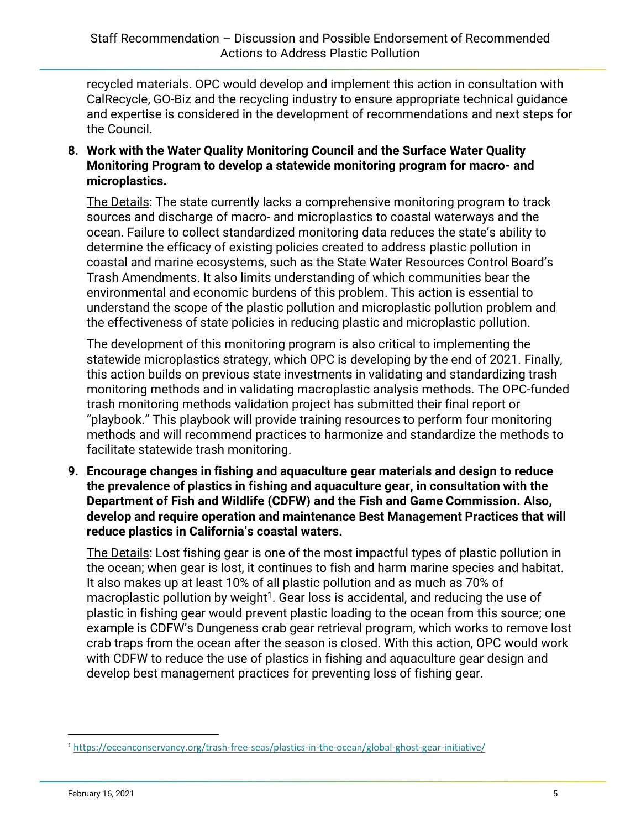recycled materials. OPC would develop and implement this action in consultation with CalRecycle, GO-Biz and the recycling industry to ensure appropriate technical guidance and expertise is considered in the development of recommendations and next steps for the Council.

**8. Work with the Water Quality Monitoring Council and the Surface Water Quality Monitoring Program to develop a statewide monitoring program for macro- and microplastics.**

The Details: The state currently lacks a comprehensive monitoring program to track sources and discharge of macro- and microplastics to coastal waterways and the ocean. Failure to collect standardized monitoring data reduces the state's ability to determine the efficacy of existing policies created to address plastic pollution in coastal and marine ecosystems, such as the State Water Resources Control Board's Trash Amendments. It also limits understanding of which communities bear the environmental and economic burdens of this problem. This action is essential to understand the scope of the plastic pollution and microplastic pollution problem and the effectiveness of state policies in reducing plastic and microplastic pollution.

The development of this monitoring program is also critical to implementing the statewide microplastics strategy, which OPC is developing by the end of 2021. Finally, this action builds on previous state investments in validating and standardizing trash monitoring methods and in validating macroplastic analysis methods. The OPC-funded trash monitoring methods validation project has submitted their final report or "playbook." This playbook will provide training resources to perform four monitoring methods and will recommend practices to harmonize and standardize the methods to facilitate statewide trash monitoring.

**9. Encourage changes in fishing and aquaculture gear materials and design to reduce the prevalence of plastics in fishing and aquaculture gear, in consultation with the Department of Fish and Wildlife (CDFW) and the Fish and Game Commission. Also, develop and require operation and maintenance Best Management Practices that will reduce plastics in California's coastal waters.**

The Details: Lost fishing gear is one of the most impactful types of plastic pollution in the ocean; when gear is lost, it continues to fish and harm marine species and habitat. It also makes up at least 10% of all plastic pollution and as much as 70% of macroplastic pollution by weight<sup>1</sup>. Gear loss is accidental, and reducing the use of plastic in fishing gear would prevent plastic loading to the ocean from this source; one example is CDFW's Dungeness crab gear retrieval program, which works to remove lost crab traps from the ocean after the season is closed. With this action, OPC would work with CDFW to reduce the use of plastics in fishing and aquaculture gear design and develop best management practices for preventing loss of fishing gear.

<sup>1</sup> <https://oceanconservancy.org/trash-free-seas/plastics-in-the-ocean/global-ghost-gear-initiative/>